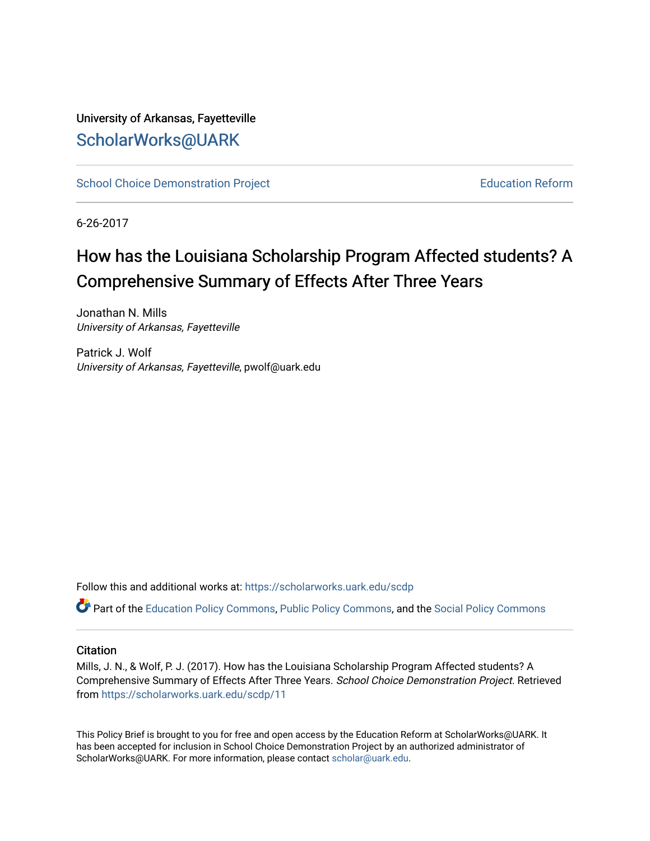# University of Arkansas, Fayetteville [ScholarWorks@UARK](https://scholarworks.uark.edu/)

[School Choice Demonstration Project](https://scholarworks.uark.edu/scdp) **Education Reform** Education Reform

6-26-2017

# How has the Louisiana Scholarship Program Affected students? A Comprehensive Summary of Effects After Three Years

Jonathan N. Mills University of Arkansas, Fayetteville

Patrick J. Wolf University of Arkansas, Fayetteville, pwolf@uark.edu

Follow this and additional works at: [https://scholarworks.uark.edu/scdp](https://scholarworks.uark.edu/scdp?utm_source=scholarworks.uark.edu%2Fscdp%2F11&utm_medium=PDF&utm_campaign=PDFCoverPages) 

Part of the [Education Policy Commons](http://network.bepress.com/hgg/discipline/1026?utm_source=scholarworks.uark.edu%2Fscdp%2F11&utm_medium=PDF&utm_campaign=PDFCoverPages), [Public Policy Commons](http://network.bepress.com/hgg/discipline/400?utm_source=scholarworks.uark.edu%2Fscdp%2F11&utm_medium=PDF&utm_campaign=PDFCoverPages), and the [Social Policy Commons](http://network.bepress.com/hgg/discipline/1030?utm_source=scholarworks.uark.edu%2Fscdp%2F11&utm_medium=PDF&utm_campaign=PDFCoverPages)

#### **Citation**

Mills, J. N., & Wolf, P. J. (2017). How has the Louisiana Scholarship Program Affected students? A Comprehensive Summary of Effects After Three Years. School Choice Demonstration Project. Retrieved from [https://scholarworks.uark.edu/scdp/11](https://scholarworks.uark.edu/scdp/11?utm_source=scholarworks.uark.edu%2Fscdp%2F11&utm_medium=PDF&utm_campaign=PDFCoverPages) 

This Policy Brief is brought to you for free and open access by the Education Reform at ScholarWorks@UARK. It has been accepted for inclusion in School Choice Demonstration Project by an authorized administrator of ScholarWorks@UARK. For more information, please contact [scholar@uark.edu](mailto:scholar@uark.edu).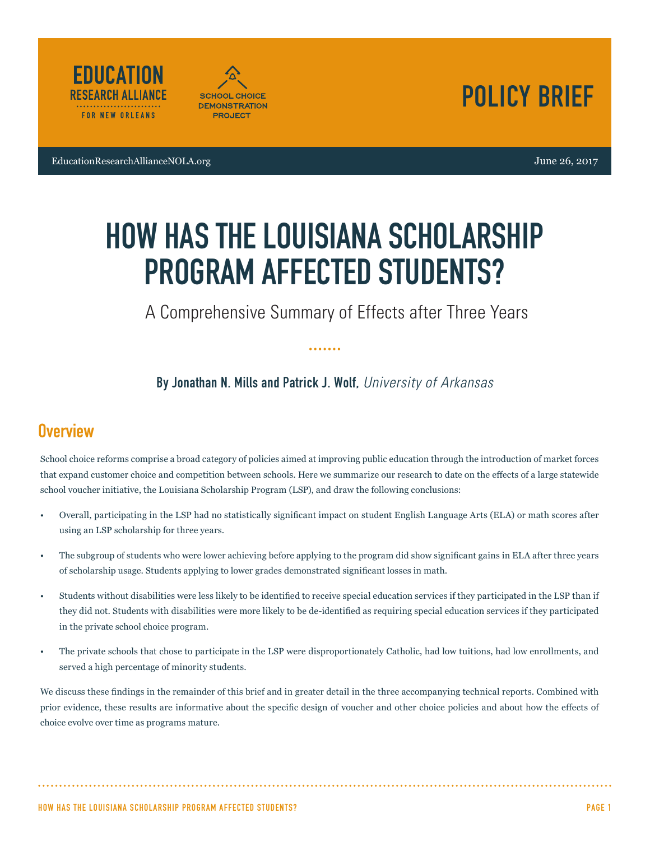





# HOW HAS THE LOUISIANA SCHOLARSHIP PROGRAM AFFECTED STUDENTS?

A Comprehensive Summary of Effects after Three Years

By Jonathan N. Mills and Patrick J. Wolf, *University of Arkansas*

# **Overview**

School choice reforms comprise a broad category of policies aimed at improving public education through the introduction of market forces that expand customer choice and competition between schools. Here we summarize our research to date on the effects of a large statewide school voucher initiative, the Louisiana Scholarship Program (LSP), and draw the following conclusions:

- Overall, participating in the LSP had no statistically significant impact on student English Language Arts (ELA) or math scores after using an LSP scholarship for three years.
- The subgroup of students who were lower achieving before applying to the program did show significant gains in ELA after three years of scholarship usage. Students applying to lower grades demonstrated significant losses in math.
- Students without disabilities were less likely to be identified to receive special education services if they participated in the LSP than if they did not. Students with disabilities were more likely to be de-identified as requiring special education services if they participated in the private school choice program.
- The private schools that chose to participate in the LSP were disproportionately Catholic, had low tuitions, had low enrollments, and served a high percentage of minority students.

We discuss these findings in the remainder of this brief and in greater detail in the three accompanying technical reports. Combined with prior evidence, these results are informative about the specific design of voucher and other choice policies and about how the effects of choice evolve over time as programs mature.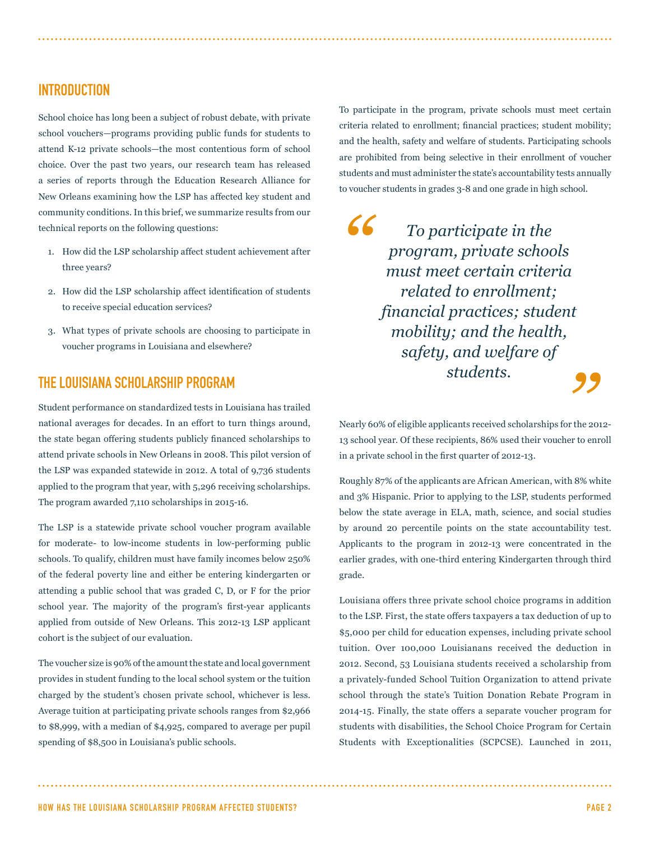### INTRODUCTION

School choice has long been a subject of robust debate, with private school vouchers—programs providing public funds for students to attend K-12 private schools—the most contentious form of school choice. Over the past two years, our research team has released a series of reports through the Education Research Alliance for New Orleans examining how the LSP has affected key student and community conditions. In this brief, we summarize results from our technical reports on the following questions:

- 1. How did the LSP scholarship affect student achievement after three years?
- 2. How did the LSP scholarship affect identification of students to receive special education services?
- 3. What types of private schools are choosing to participate in voucher programs in Louisiana and elsewhere?

### THE LOUISIANA SCHOLARSHIP PROGRAM

Student performance on standardized tests in Louisiana has trailed national averages for decades. In an effort to turn things around, the state began offering students publicly financed scholarships to attend private schools in New Orleans in 2008. This pilot version of the LSP was expanded statewide in 2012. A total of 9,736 students applied to the program that year, with 5,296 receiving scholarships. The program awarded 7,110 scholarships in 2015-16.

The LSP is a statewide private school voucher program available for moderate- to low-income students in low-performing public schools. To qualify, children must have family incomes below 250% of the federal poverty line and either be entering kindergarten or attending a public school that was graded C, D, or F for the prior school year. The majority of the program's first-year applicants applied from outside of New Orleans. This 2012-13 LSP applicant cohort is the subject of our evaluation.

The voucher size is 90% of the amount the state and local government provides in student funding to the local school system or the tuition charged by the student's chosen private school, whichever is less. Average tuition at participating private schools ranges from \$2,966 to \$8,999, with a median of \$4,925, compared to average per pupil spending of \$8,500 in Louisiana's public schools.

To participate in the program, private schools must meet certain criteria related to enrollment; financial practices; student mobility; and the health, safety and welfare of students. Participating schools are prohibited from being selective in their enrollment of voucher students and must administer the state's accountability tests annually to voucher students in grades 3-8 and one grade in high school.

*" " To participate in the program, private schools must meet certain criteria related to enrollment; financial practices; student mobility; and the health, safety, and welfare of students.*

Nearly 60% of eligible applicants received scholarships for the 2012- 13 school year. Of these recipients, 86% used their voucher to enroll in a private school in the first quarter of 2012-13.

Roughly 87% of the applicants are African American, with 8% white and 3% Hispanic. Prior to applying to the LSP, students performed below the state average in ELA, math, science, and social studies by around 20 percentile points on the state accountability test. Applicants to the program in 2012-13 were concentrated in the earlier grades, with one-third entering Kindergarten through third grade.

Louisiana offers three private school choice programs in addition to the LSP. First, the state offers taxpayers a tax deduction of up to \$5,000 per child for education expenses, including private school tuition. Over 100,000 Louisianans received the deduction in 2012. Second, 53 Louisiana students received a scholarship from a privately-funded School Tuition Organization to attend private school through the state's Tuition Donation Rebate Program in 2014-15. Finally, the state offers a separate voucher program for students with disabilities, the School Choice Program for Certain Students with Exceptionalities (SCPCSE). Launched in 2011,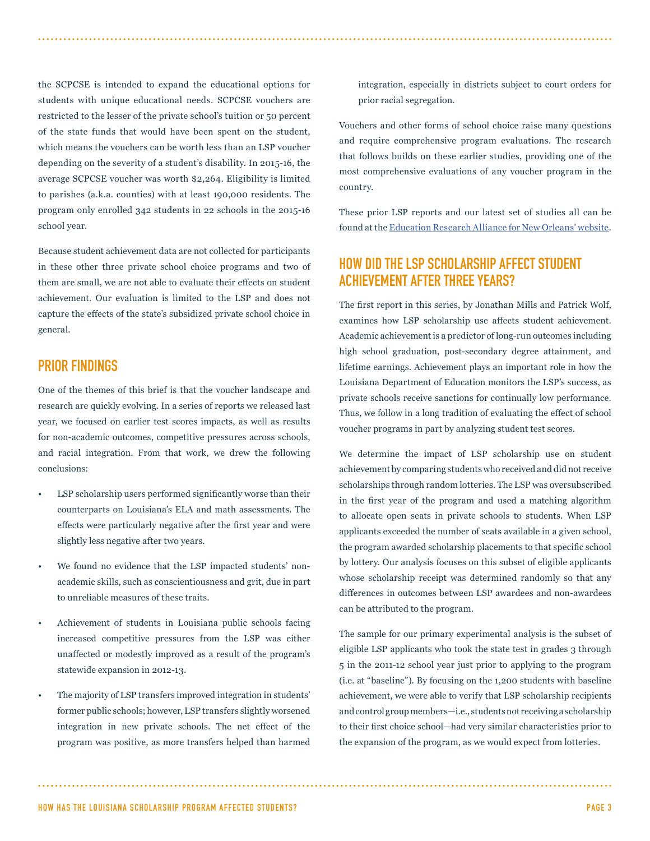the SCPCSE is intended to expand the educational options for students with unique educational needs. SCPCSE vouchers are restricted to the lesser of the private school's tuition or 50 percent of the state funds that would have been spent on the student, which means the vouchers can be worth less than an LSP voucher depending on the severity of a student's disability. In 2015-16, the average SCPCSE voucher was worth \$2,264. Eligibility is limited to parishes (a.k.a. counties) with at least 190,000 residents. The program only enrolled 342 students in 22 schools in the 2015-16 school year.

Because student achievement data are not collected for participants in these other three private school choice programs and two of them are small, we are not able to evaluate their effects on student achievement. Our evaluation is limited to the LSP and does not capture the effects of the state's subsidized private school choice in general.

### PRIOR FINDINGS

One of the themes of this brief is that the voucher landscape and research are quickly evolving. In a series of reports we released last year, we focused on earlier test scores impacts, as well as results for non-academic outcomes, competitive pressures across schools, and racial integration. From that work, we drew the following conclusions:

- LSP scholarship users performed significantly worse than their counterparts on Louisiana's ELA and math assessments. The effects were particularly negative after the first year and were slightly less negative after two years.
- We found no evidence that the LSP impacted students' nonacademic skills, such as conscientiousness and grit, due in part to unreliable measures of these traits.
- Achievement of students in Louisiana public schools facing increased competitive pressures from the LSP was either unaffected or modestly improved as a result of the program's statewide expansion in 2012-13.
- The majority of LSP transfers improved integration in students' former public schools; however, LSP transfers slightly worsened integration in new private schools. The net effect of the program was positive, as more transfers helped than harmed

integration, especially in districts subject to court orders for prior racial segregation.

Vouchers and other forms of school choice raise many questions and require comprehensive program evaluations. The research that follows builds on these earlier studies, providing one of the most comprehensive evaluations of any voucher program in the country.

These prior LSP reports and our latest set of studies all can be found at the Education Research Alliance for New Orleans' website.

# HOW DID THE LSP SCHOLARSHIP AFFECT STUDENT ACHIEVEMENT AFTER THREE YEARS?

The first report in this series, by Jonathan Mills and Patrick Wolf, examines how LSP scholarship use affects student achievement. Academic achievement is a predictor of long-run outcomes including high school graduation, post-secondary degree attainment, and lifetime earnings. Achievement plays an important role in how the Louisiana Department of Education monitors the LSP's success, as private schools receive sanctions for continually low performance. Thus, we follow in a long tradition of evaluating the effect of school voucher programs in part by analyzing student test scores.

We determine the impact of LSP scholarship use on student achievement by comparing students who received and did not receive scholarships through random lotteries. The LSP was oversubscribed in the first year of the program and used a matching algorithm to allocate open seats in private schools to students. When LSP applicants exceeded the number of seats available in a given school, the program awarded scholarship placements to that specific school by lottery. Our analysis focuses on this subset of eligible applicants whose scholarship receipt was determined randomly so that any differences in outcomes between LSP awardees and non-awardees can be attributed to the program.

The sample for our primary experimental analysis is the subset of eligible LSP applicants who took the state test in grades 3 through 5 in the 2011-12 school year just prior to applying to the program (i.e. at "baseline"). By focusing on the 1,200 students with baseline achievement, we were able to verify that LSP scholarship recipients and control group members—i.e., students not receiving a scholarship to their first choice school—had very similar characteristics prior to the expansion of the program, as we would expect from lotteries.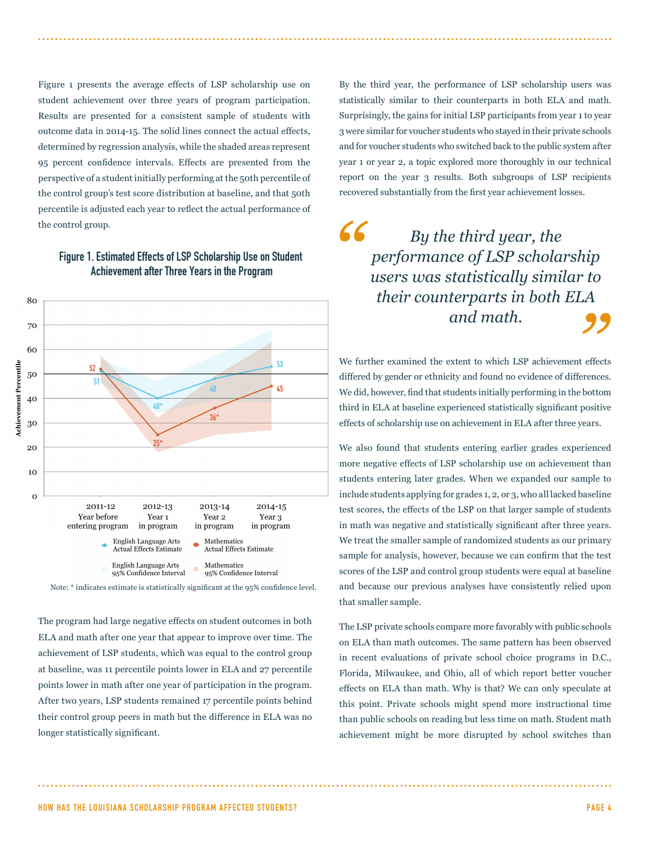Figure 1 presents the average effects of LSP scholarship use on student achievement over three years of program participation. Results are presented for a consistent sample of students with outcome data in 2014-15. The solid lines connect the actual effects, determined by regression analysis, while the shaded areas represent 95 percent confidence intervals. Effects are presented from the perspective of a student initially performing at the 50th percentile of the control group's test score distribution at baseline, and that 50th percentile is adjusted each year to reflect the actual performance of

# the control group.<br> **Figure 1. Estimated Effects of LSP Scholarship Use on Student<br>
<b>Achievement after Three Years in the Program** Figure 1. Estimated Effects of LSP Scholarship Use on Student Achievement after Three Years in the Program



Note: \* indicates estimate is statistically significant at the 95% confidence level.

The program had large negative effects on student outcomes in both ELA and math after one year that appear to improve over time. The achievement of LSP students, which was equal to the control group at baseline, was 11 percentile points lower in ELA and 27 percentile points lower in math after one year of participation in the program. After two years, LSP students remained 17 percentile points behind their control group peers in math but the difference in ELA was no longer statistically significant.

By the third year, the performance of LSP scholarship users was statistically similar to their counterparts in both ELA and math. Surprisingly, the gains for initial LSP participants from year 1 to year 3 were similar for voucher students who stayed in their private schools and for voucher students who switched back to the public system after year 1 or year 2, a topic explored more thoroughly in our technical report on the year 3 results. Both subgroups of LSP recipients recovered substantially from the first year achievement losses.

' το<br>A<br>**99** *By the third year, the performance of LSP scholarship users was statistically similar to their counterparts in both ELA and math.*

We further examined the extent to which LSP achievement effects differed by gender or ethnicity and found no evidence of differences. We did, however, find that students initially performing in the bottom third in ELA at baseline experienced statistically significant positive effects of scholarship use on achievement in ELA after three years.

We also found that students entering earlier grades experienced more negative effects of LSP scholarship use on achievement than students entering later grades. When we expanded our sample to include students applying for grades 1, 2, or 3, who all lacked baseline test scores, the effects of the LSP on that larger sample of students in math was negative and statistically significant after three years. We treat the smaller sample of randomized students as our primary sample for analysis, however, because we can confirm that the test scores of the LSP and control group students were equal at baseline and because our previous analyses have consistently relied upon that smaller sample.

The LSP private schools compare more favorably with public schools on ELA than math outcomes. The same pattern has been observed in recent evaluations of private school choice programs in D.C., Florida, Milwaukee, and Ohio, all of which report better voucher effects on ELA than math. Why is that? We can only speculate at this point. Private schools might spend more instructional time than public schools on reading but less time on math. Student math achievement might be more disrupted by school switches than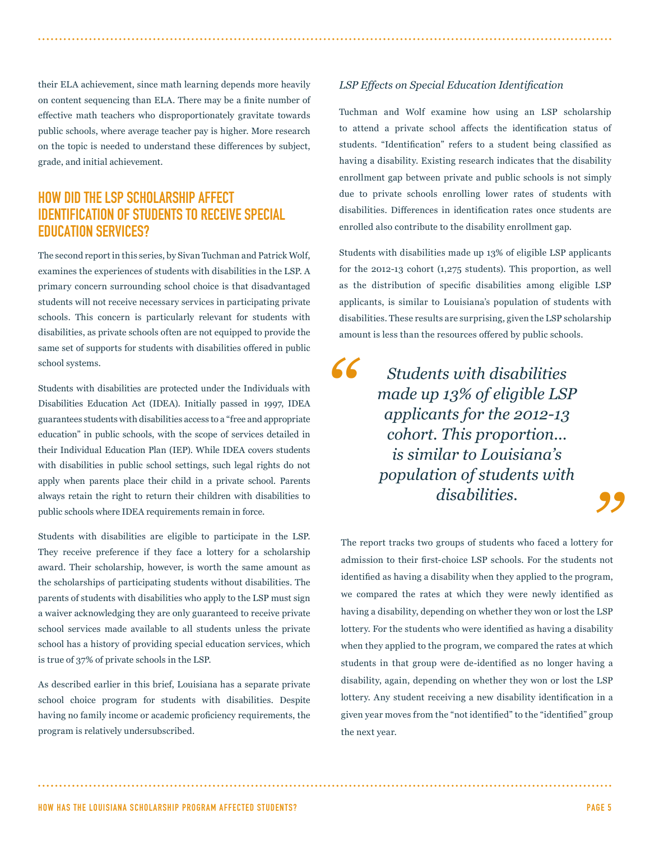their ELA achievement, since math learning depends more heavily on content sequencing than ELA. There may be a finite number of effective math teachers who disproportionately gravitate towards public schools, where average teacher pay is higher. More research on the topic is needed to understand these differences by subject, grade, and initial achievement.

# HOW DID THE LSP SCHOLARSHIP AFFECT IDENTIFICATION OF STUDENTS TO RECEIVE SPECIAL EDUCATION SERVICES?

The second report in this series, by Sivan Tuchman and Patrick Wolf, examines the experiences of students with disabilities in the LSP. A primary concern surrounding school choice is that disadvantaged students will not receive necessary services in participating private schools. This concern is particularly relevant for students with disabilities, as private schools often are not equipped to provide the same set of supports for students with disabilities offered in public school systems.

Students with disabilities are protected under the Individuals with Disabilities Education Act (IDEA). Initially passed in 1997, IDEA guarantees students with disabilities access to a "free and appropriate education" in public schools, with the scope of services detailed in their Individual Education Plan (IEP). While IDEA covers students with disabilities in public school settings, such legal rights do not apply when parents place their child in a private school. Parents always retain the right to return their children with disabilities to public schools where IDEA requirements remain in force.

Students with disabilities are eligible to participate in the LSP. They receive preference if they face a lottery for a scholarship award. Their scholarship, however, is worth the same amount as the scholarships of participating students without disabilities. The parents of students with disabilities who apply to the LSP must sign a waiver acknowledging they are only guaranteed to receive private school services made available to all students unless the private school has a history of providing special education services, which is true of 37% of private schools in the LSP.

As described earlier in this brief, Louisiana has a separate private school choice program for students with disabilities. Despite having no family income or academic proficiency requirements, the program is relatively undersubscribed.

#### *LSP Effects on Special Education Identification*

Tuchman and Wolf examine how using an LSP scholarship to attend a private school affects the identification status of students. "Identification" refers to a student being classified as having a disability. Existing research indicates that the disability enrollment gap between private and public schools is not simply due to private schools enrolling lower rates of students with disabilities. Differences in identification rates once students are enrolled also contribute to the disability enrollment gap.

Students with disabilities made up 13% of eligible LSP applicants for the 2012-13 cohort (1,275 students). This proportion, as well as the distribution of specific disabilities among eligible LSP applicants, is similar to Louisiana's population of students with disabilities. These results are surprising, given the LSP scholarship amount is less than the resources offered by public schools.

*"*

*Students with disabilities made up 13% of eligible LSP applicants for the 2012-13 cohort. This proportion... is similar to Louisiana's population of students with disabilities.*

The report tracks two groups of students who faced a lottery for admission to their first-choice LSP schools. For the students not identified as having a disability when they applied to the program, we compared the rates at which they were newly identified as having a disability, depending on whether they won or lost the LSP lottery. For the students who were identified as having a disability when they applied to the program, we compared the rates at which students in that group were de-identified as no longer having a disability, again, depending on whether they won or lost the LSP lottery. Any student receiving a new disability identification in a given year moves from the "not identified" to the "identified" group the next year.

HOW HAS THE LOUISIANA SCHOLARSHIP PROGRAM AFFECTED STUDENTS? PAGE 5

*"*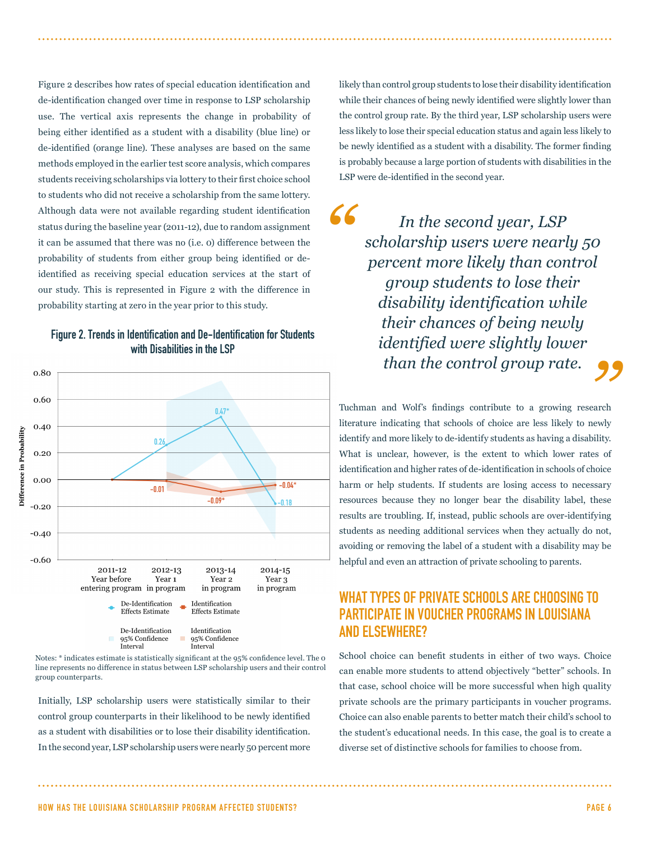Figure 2 describes how rates of special education identification and de-identification changed over time in response to LSP scholarship use. The vertical axis represents the change in probability of being either identified as a student with a disability (blue line) or de-identified (orange line). These analyses are based on the same methods employed in the earlier test score analysis, which compares students receiving scholarships via lottery to their first choice school to students who did not receive a scholarship from the same lottery. Although data were not available regarding student identification status during the baseline year (2011-12), due to random assignment it can be assumed that there was no (i.e. 0) difference between the probability of students from either group being identified or deidentified as receiving special education services at the start of our study. This is represented in Figure 2 with the difference in probability starting at zero in the year prior to this study.



#### Figure 2. Trends in Identification and De-Identification for Students with Disabilities in the LSP

Notes: \* indicates estimate is statistically significant at the 95% confidence level. The 0 line represents no difference in status between LSP scholarship users and their control group counterparts.

Initially, LSP scholarship users were statistically similar to their control group counterparts in their likelihood to be newly identified as a student with disabilities or to lose their disability identification. In the second year, LSP scholarship users were nearly 50 percent more likely than control group students to lose their disability identification while their chances of being newly identified were slightly lower than the control group rate. By the third year, LSP scholarship users were less likely to lose their special education status and again less likely to be newly identified as a student with a disability. The former finding is probably because a large portion of students with disabilities in the LSP were de-identified in the second year.

*" " In the second year, LSP scholarship users were nearly 50 percent more likely than control group students to lose their disability identification while their chances of being newly identified were slightly lower than the control group rate.*

Tuchman and Wolf's findings contribute to a growing research literature indicating that schools of choice are less likely to newly identify and more likely to de-identify students as having a disability. What is unclear, however, is the extent to which lower rates of identification and higher rates of de-identification in schools of choice harm or help students. If students are losing access to necessary resources because they no longer bear the disability label, these results are troubling. If, instead, public schools are over-identifying students as needing additional services when they actually do not, avoiding or removing the label of a student with a disability may be helpful and even an attraction of private schooling to parents.

# WHAT TYPES OF PRIVATE SCHOOLS ARE CHOOSING TO PARTICIPATE IN VOUCHER PROGRAMS IN LOUISIANA AND ELSEWHERE?

School choice can benefit students in either of two ways. Choice can enable more students to attend objectively "better" schools. In that case, school choice will be more successful when high quality private schools are the primary participants in voucher programs. Choice can also enable parents to better match their child's school to the student's educational needs. In this case, the goal is to create a diverse set of distinctive schools for families to choose from.

HOW HAS THE LOUISIANA SCHOLARSHIP PROGRAM AFFECTED STUDENTS? PAGE 6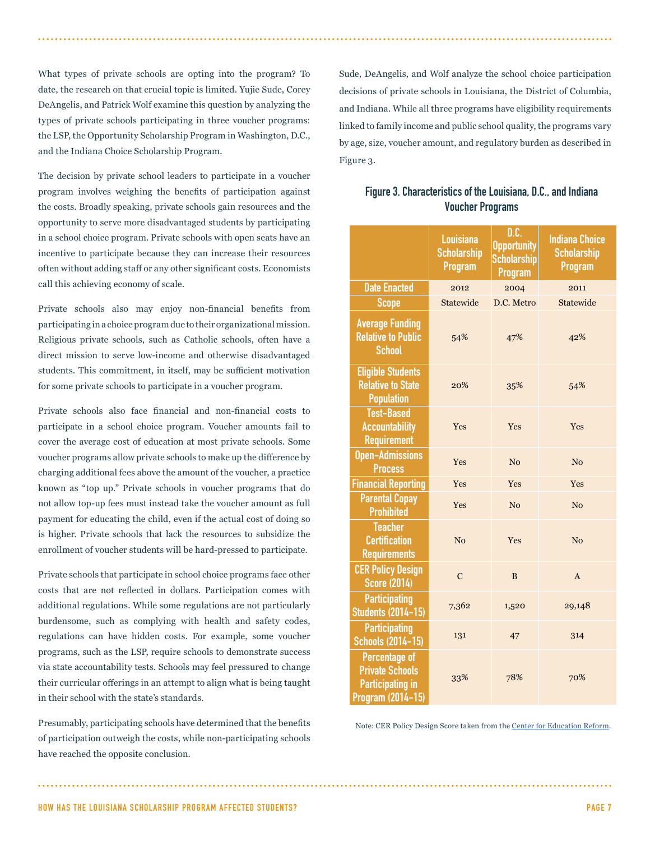What types of private schools are opting into the program? To date, the research on that crucial topic is limited. Yujie Sude, Corey DeAngelis, and Patrick Wolf examine this question by analyzing the types of private schools participating in three voucher programs: the LSP, the Opportunity Scholarship Program in Washington, D.C., and the Indiana Choice Scholarship Program.

The decision by private school leaders to participate in a voucher program involves weighing the benefits of participation against the costs. Broadly speaking, private schools gain resources and the opportunity to serve more disadvantaged students by participating in a school choice program. Private schools with open seats have an incentive to participate because they can increase their resources often without adding staff or any other significant costs. Economists call this achieving economy of scale.

Private schools also may enjoy non-financial benefits from participating in a choice program due to their organizational mission. Religious private schools, such as Catholic schools, often have a direct mission to serve low-income and otherwise disadvantaged students. This commitment, in itself, may be sufficient motivation for some private schools to participate in a voucher program.

Private schools also face financial and non-financial costs to participate in a school choice program. Voucher amounts fail to cover the average cost of education at most private schools. Some voucher programs allow private schools to make up the difference by charging additional fees above the amount of the voucher, a practice known as "top up." Private schools in voucher programs that do not allow top-up fees must instead take the voucher amount as full payment for educating the child, even if the actual cost of doing so is higher. Private schools that lack the resources to subsidize the enrollment of voucher students will be hard-pressed to participate.

Private schools that participate in school choice programs face other costs that are not reflected in dollars. Participation comes with additional regulations. While some regulations are not particularly burdensome, such as complying with health and safety codes, regulations can have hidden costs. For example, some voucher programs, such as the LSP, require schools to demonstrate success via state accountability tests. Schools may feel pressured to change their curricular offerings in an attempt to align what is being taught in their school with the state's standards.

Presumably, participating schools have determined that the benefits of participation outweigh the costs, while non-participating schools have reached the opposite conclusion.

Sude, DeAngelis, and Wolf analyze the school choice participation decisions of private schools in Louisiana, the District of Columbia, and Indiana. While all three programs have eligibility requirements linked to family income and public school quality, the programs vary by age, size, voucher amount, and regulatory burden as described in Figure 3.

| Figure 3. Characteristics of the Louisiana, D.C., and Indiana |  |
|---------------------------------------------------------------|--|
| <b>Voucher Programs</b>                                       |  |

|                                                                                                | <b>Louisiana</b><br><b>Scholarship</b><br><b>Program</b> | D.C.<br><b>Opportunity</b><br><b>Scholarship</b><br><b>Program</b> | <b>Indiana Choice</b><br><b>Scholarship</b><br><b>Program</b> |
|------------------------------------------------------------------------------------------------|----------------------------------------------------------|--------------------------------------------------------------------|---------------------------------------------------------------|
| <b>Date Enacted</b>                                                                            | 2012                                                     | 2004                                                               | 2011                                                          |
| Scope                                                                                          | Statewide                                                | D.C. Metro                                                         | Statewide                                                     |
| <b>Average Funding</b><br><b>Relative to Public</b><br><b>School</b>                           | 54%                                                      | 47%                                                                | 42%                                                           |
| <b>Eligible Students</b><br><b>Relative to State</b><br><b>Population</b>                      | 20%                                                      | 35%                                                                | 54%                                                           |
| <b>Test-Based</b><br><b>Accountability</b><br><b>Requirement</b>                               | Yes                                                      | Yes                                                                | Yes                                                           |
| <b>Open-Admissions</b><br><b>Process</b>                                                       | Yes                                                      | N <sub>0</sub>                                                     | N <sub>o</sub>                                                |
| <b>Financial Reporting</b>                                                                     | Yes                                                      | Yes                                                                | Yes                                                           |
| <b>Parental Copay</b><br><b>Prohibited</b>                                                     | Yes                                                      | N <sub>0</sub>                                                     | N <sub>o</sub>                                                |
| <b>Teacher</b><br><b>Certification</b><br><b>Requirements</b>                                  | N <sub>0</sub>                                           | Yes                                                                | N <sub>0</sub>                                                |
| <b>CER Policy Design</b><br><b>Score (2014)</b>                                                | $\mathbf C$                                              | B                                                                  | A                                                             |
| <b>Participating</b><br><b>Students (2014-15)</b>                                              | 7,362                                                    | 1,520                                                              | 29,148                                                        |
| <b>Participating</b><br><b>Schools (2014-15)</b>                                               | 131                                                      | 47                                                                 | 314                                                           |
| <b>Percentage of</b><br><b>Private Schools</b><br><b>Participating in</b><br>Program (2014-15) | 33%                                                      | 78%                                                                | 70%                                                           |

Note: CER Policy Design Score taken from the Center for Education Reform.

HOW HAS THE LOUISIANA SCHOLARSHIP PROGRAM AFFECTED STUDENTS? PAGE 7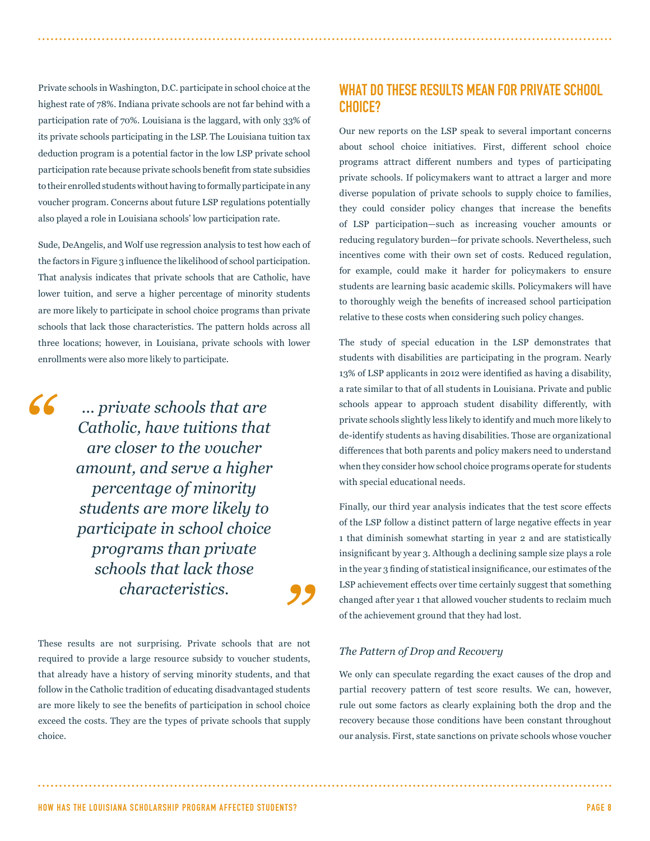Private schools in Washington, D.C. participate in school choice at the highest rate of 78%. Indiana private schools are not far behind with a participation rate of 70%. Louisiana is the laggard, with only 33% of its private schools participating in the LSP. The Louisiana tuition tax deduction program is a potential factor in the low LSP private school participation rate because private schools benefit from state subsidies to their enrolled students without having to formally participate in any voucher program. Concerns about future LSP regulations potentially also played a role in Louisiana schools' low participation rate.

Sude, DeAngelis, and Wolf use regression analysis to test how each of the factors in Figure 3 influence the likelihood of school participation. That analysis indicates that private schools that are Catholic, have lower tuition, and serve a higher percentage of minority students are more likely to participate in school choice programs than private schools that lack those characteristics. The pattern holds across all three locations; however, in Louisiana, private schools with lower enrollments were also more likely to participate.

*"*

*... private schools that are Catholic, have tuitions that are closer to the voucher amount, and serve a higher percentage of minority students are more likely to participate in school choice programs than private schools that lack those characteristics.*

These results are not surprising. Private schools that are not required to provide a large resource subsidy to voucher students, that already have a history of serving minority students, and that follow in the Catholic tradition of educating disadvantaged students are more likely to see the benefits of participation in school choice exceed the costs. They are the types of private schools that supply choice.

## WHAT DO THESE RESULTS MEAN FOR PRIVATE SCHOOL CHOICE?

Our new reports on the LSP speak to several important concerns about school choice initiatives. First, different school choice programs attract different numbers and types of participating private schools. If policymakers want to attract a larger and more diverse population of private schools to supply choice to families, they could consider policy changes that increase the benefits of LSP participation—such as increasing voucher amounts or reducing regulatory burden—for private schools. Nevertheless, such incentives come with their own set of costs. Reduced regulation, for example, could make it harder for policymakers to ensure students are learning basic academic skills. Policymakers will have to thoroughly weigh the benefits of increased school participation relative to these costs when considering such policy changes.

The study of special education in the LSP demonstrates that students with disabilities are participating in the program. Nearly 13% of LSP applicants in 2012 were identified as having a disability, a rate similar to that of all students in Louisiana. Private and public schools appear to approach student disability differently, with private schools slightly less likely to identify and much more likely to de-identify students as having disabilities. Those are organizational differences that both parents and policy makers need to understand when they consider how school choice programs operate for students with special educational needs.

Finally, our third year analysis indicates that the test score effects of the LSP follow a distinct pattern of large negative effects in year 1 that diminish somewhat starting in year 2 and are statistically insignificant by year 3. Although a declining sample size plays a role in the year 3 finding of statistical insignificance, our estimates of the LSP achievement effects over time certainly suggest that something changed after year 1 that allowed voucher students to reclaim much of the achievement ground that they had lost.

#### *The Pattern of Drop and Recovery*

*"*

We only can speculate regarding the exact causes of the drop and partial recovery pattern of test score results. We can, however, rule out some factors as clearly explaining both the drop and the recovery because those conditions have been constant throughout our analysis. First, state sanctions on private schools whose voucher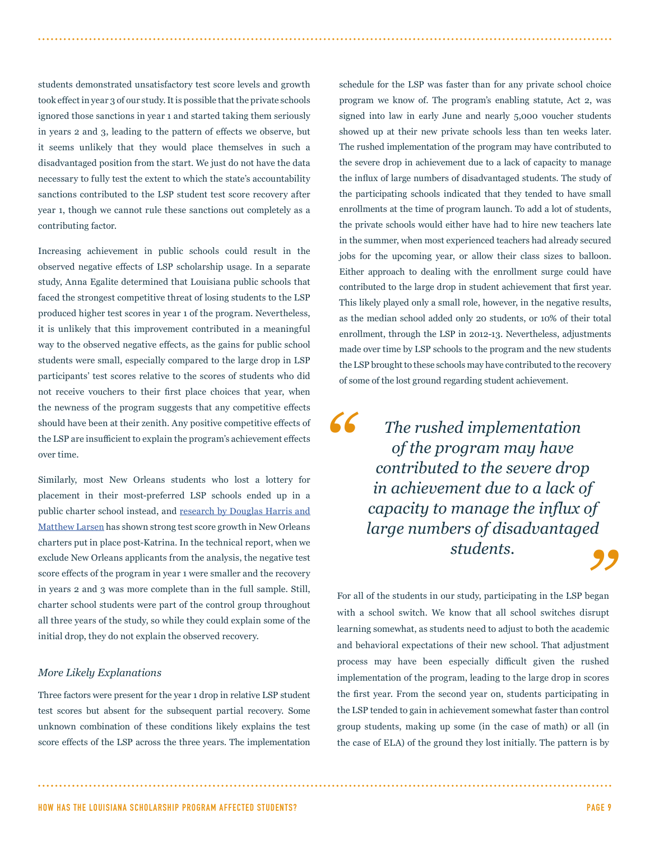students demonstrated unsatisfactory test score levels and growth took effect in year 3 of our study. It is possible that the private schools ignored those sanctions in year 1 and started taking them seriously in years 2 and 3, leading to the pattern of effects we observe, but it seems unlikely that they would place themselves in such a disadvantaged position from the start. We just do not have the data necessary to fully test the extent to which the state's accountability sanctions contributed to the LSP student test score recovery after year 1, though we cannot rule these sanctions out completely as a contributing factor.

Increasing achievement in public schools could result in the observed negative effects of LSP scholarship usage. In a separate study, Anna Egalite determined that Louisiana public schools that faced the strongest competitive threat of losing students to the LSP produced higher test scores in year 1 of the program. Nevertheless, it is unlikely that this improvement contributed in a meaningful way to the observed negative effects, as the gains for public school students were small, especially compared to the large drop in LSP participants' test scores relative to the scores of students who did not receive vouchers to their first place choices that year, when the newness of the program suggests that any competitive effects should have been at their zenith. Any positive competitive effects of the LSP are insufficient to explain the program's achievement effects over time.

Similarly, most New Orleans students who lost a lottery for placement in their most-preferred LSP schools ended up in a public charter school instead, and research by Douglas Harris and Matthew Larsen has shown strong test score growth in New Orleans charters put in place post-Katrina. In the technical report, when we exclude New Orleans applicants from the analysis, the negative test score effects of the program in year 1 were smaller and the recovery in years 2 and 3 was more complete than in the full sample. Still, charter school students were part of the control group throughout all three years of the study, so while they could explain some of the initial drop, they do not explain the observed recovery.

#### *More Likely Explanations*

Three factors were present for the year 1 drop in relative LSP student test scores but absent for the subsequent partial recovery. Some unknown combination of these conditions likely explains the test score effects of the LSP across the three years. The implementation schedule for the LSP was faster than for any private school choice program we know of. The program's enabling statute, Act 2, was signed into law in early June and nearly 5,000 voucher students showed up at their new private schools less than ten weeks later. The rushed implementation of the program may have contributed to the severe drop in achievement due to a lack of capacity to manage the influx of large numbers of disadvantaged students. The study of the participating schools indicated that they tended to have small enrollments at the time of program launch. To add a lot of students, the private schools would either have had to hire new teachers late in the summer, when most experienced teachers had already secured jobs for the upcoming year, or allow their class sizes to balloon. Either approach to dealing with the enrollment surge could have contributed to the large drop in student achievement that first year. This likely played only a small role, however, in the negative results, as the median school added only 20 students, or 10% of their total enrollment, through the LSP in 2012-13. Nevertheless, adjustments made over time by LSP schools to the program and the new students the LSP brought to these schools may have contributed to the recovery of some of the lost ground regarding student achievement.

*"* "<br>d<br>**99** *The rushed implementation of the program may have contributed to the severe drop in achievement due to a lack of capacity to manage the influx of large numbers of disadvantaged students.*

For all of the students in our study, participating in the LSP began with a school switch. We know that all school switches disrupt learning somewhat, as students need to adjust to both the academic and behavioral expectations of their new school. That adjustment process may have been especially difficult given the rushed implementation of the program, leading to the large drop in scores the first year. From the second year on, students participating in the LSP tended to gain in achievement somewhat faster than control group students, making up some (in the case of math) or all (in the case of ELA) of the ground they lost initially. The pattern is by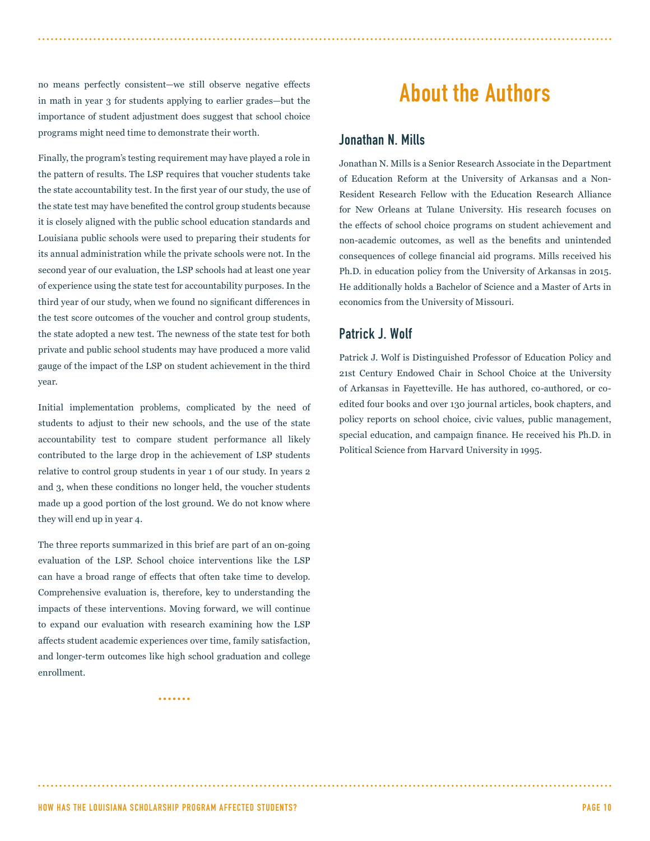no means perfectly consistent—we still observe negative effects in math in year 3 for students applying to earlier grades—but the importance of student adjustment does suggest that school choice programs might need time to demonstrate their worth.

Finally, the program's testing requirement may have played a role in the pattern of results. The LSP requires that voucher students take the state accountability test. In the first year of our study, the use of the state test may have benefited the control group students because it is closely aligned with the public school education standards and Louisiana public schools were used to preparing their students for its annual administration while the private schools were not. In the second year of our evaluation, the LSP schools had at least one year of experience using the state test for accountability purposes. In the third year of our study, when we found no significant differences in the test score outcomes of the voucher and control group students, the state adopted a new test. The newness of the state test for both private and public school students may have produced a more valid gauge of the impact of the LSP on student achievement in the third year.

Initial implementation problems, complicated by the need of students to adjust to their new schools, and the use of the state accountability test to compare student performance all likely contributed to the large drop in the achievement of LSP students relative to control group students in year 1 of our study. In years 2 and 3, when these conditions no longer held, the voucher students made up a good portion of the lost ground. We do not know where they will end up in year 4.

The three reports summarized in this brief are part of an on-going evaluation of the LSP. School choice interventions like the LSP can have a broad range of effects that often take time to develop. Comprehensive evaluation is, therefore, key to understanding the impacts of these interventions. Moving forward, we will continue to expand our evaluation with research examining how the LSP affects student academic experiences over time, family satisfaction, and longer-term outcomes like high school graduation and college enrollment.

.......

About the Authors

#### Jonathan N. Mills

Jonathan N. Mills is a Senior Research Associate in the Department of Education Reform at the University of Arkansas and a Non-Resident Research Fellow with the Education Research Alliance for New Orleans at Tulane University. His research focuses on the effects of school choice programs on student achievement and non-academic outcomes, as well as the benefits and unintended consequences of college financial aid programs. Mills received his Ph.D. in education policy from the University of Arkansas in 2015. He additionally holds a Bachelor of Science and a Master of Arts in economics from the University of Missouri.

### Patrick J. Wolf

Patrick J. Wolf is Distinguished Professor of Education Policy and 21st Century Endowed Chair in School Choice at the University of Arkansas in Fayetteville. He has authored, co-authored, or coedited four books and over 130 journal articles, book chapters, and policy reports on school choice, civic values, public management, special education, and campaign finance. He received his Ph.D. in Political Science from Harvard University in 1995.